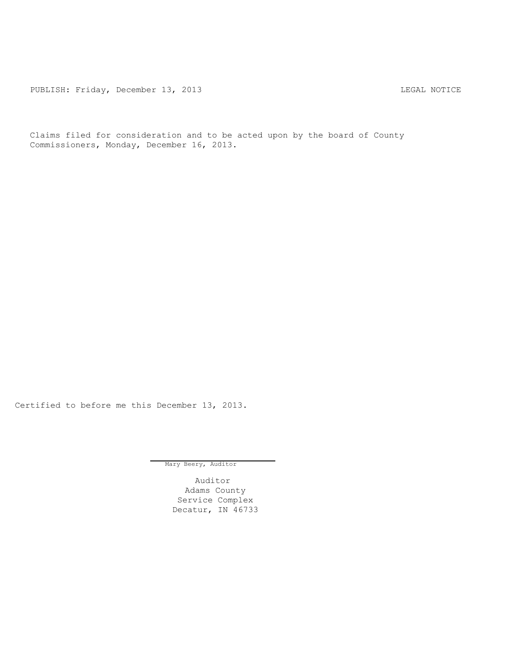PUBLISH: Friday, December 13, 2013 and the control of the SAL NOTICE

Claims filed for consideration and to be acted upon by the board of County Commissioners, Monday, December 16, 2013.

Certified to before me this December 13, 2013.

Mary Beery, Auditor

Auditor Adams County Service Complex Decatur, IN 46733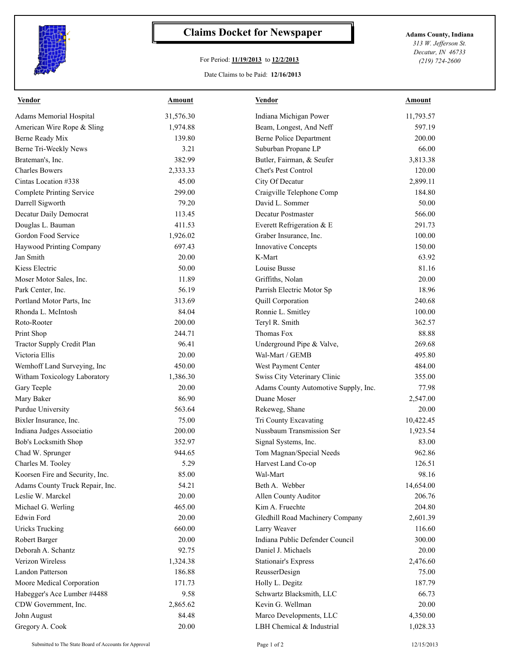

## **Claims Docket for Newspaper Adams County, Indiana**

## For Period: **11/19/2013** to **12/2/2013**

Date Claims to be Paid: **12/16/2013**

*313 W. Jefferson St. Decatur, IN 46733 (219) 724-2600*

| <b>Vendor</b>                    | Amount    | <b>Vendor</b>                        | Amount    |
|----------------------------------|-----------|--------------------------------------|-----------|
| Adams Memorial Hospital          | 31,576.30 | Indiana Michigan Power               | 11,793.57 |
| American Wire Rope & Sling       | 1,974.88  | Beam, Longest, And Neff              | 597.19    |
| Berne Ready Mix                  | 139.80    | <b>Berne Police Department</b>       | 200.00    |
| Berne Tri-Weekly News            | 3.21      | Suburban Propane LP                  | 66.00     |
| Brateman's, Inc.                 | 382.99    | Butler, Fairman, & Seufer            | 3,813.38  |
| <b>Charles Bowers</b>            | 2,333.33  | Chet's Pest Control                  | 120.00    |
| Cintas Location #338             | 45.00     | City Of Decatur                      | 2,899.11  |
| <b>Complete Printing Service</b> | 299.00    | Craigville Telephone Comp            | 184.80    |
| Darrell Sigworth                 | 79.20     | David L. Sommer                      | 50.00     |
| Decatur Daily Democrat           | 113.45    | Decatur Postmaster                   | 566.00    |
| Douglas L. Bauman                | 411.53    | Everett Refrigeration & E            | 291.73    |
| Gordon Food Service              | 1,926.02  | Graber Insurance, Inc.               | 100.00    |
| Haywood Printing Company         | 697.43    | <b>Innovative Concepts</b>           | 150.00    |
| Jan Smith                        | 20.00     | K-Mart                               | 63.92     |
| Kiess Electric                   | 50.00     | Louise Busse                         | 81.16     |
| Moser Motor Sales, Inc.          | 11.89     | Griffiths, Nolan                     | 20.00     |
| Park Center, Inc.                | 56.19     | Parrish Electric Motor Sp            | 18.96     |
| Portland Motor Parts, Inc        | 313.69    | Quill Corporation                    | 240.68    |
| Rhonda L. McIntosh               | 84.04     | Ronnie L. Smitley                    | 100.00    |
| Roto-Rooter                      | 200.00    | Teryl R. Smith                       | 362.57    |
| Print Shop                       | 244.71    | Thomas Fox                           | 88.88     |
| Tractor Supply Credit Plan       | 96.41     | Underground Pipe & Valve,            | 269.68    |
| Victoria Ellis                   | 20.00     | Wal-Mart / GEMB                      | 495.80    |
| Wemhoff Land Surveying, Inc      | 450.00    | West Payment Center                  | 484.00    |
| Witham Toxicology Laboratory     | 1,386.30  | Swiss City Veterinary Clinic         | 355.00    |
| Gary Teeple                      | 20.00     | Adams County Automotive Supply, Inc. | 77.98     |
| Mary Baker                       | 86.90     | Duane Moser                          | 2,547.00  |
| Purdue University                | 563.64    | Rekeweg, Shane                       | 20.00     |
| Bixler Insurance, Inc.           | 75.00     | Tri County Excavating                | 10,422.45 |
| Indiana Judges Associatio        | 200.00    | Nussbaum Transmission Ser            | 1,923.54  |
| Bob's Locksmith Shop             | 352.97    | Signal Systems, Inc.                 | 83.00     |
| Chad W. Sprunger                 | 944.65    | Tom Magnan/Special Needs             | 962.86    |
| Charles M. Tooley                | 5.29      | Harvest Land Co-op                   | 126.51    |
| Koorsen Fire and Security, Inc.  | 85.00     | Wal-Mart                             | 98.16     |
| Adams County Truck Repair, Inc.  | 54.21     | Beth A. Webber                       | 14,654.00 |
| Leslie W. Marckel                | 20.00     | Allen County Auditor                 | 206.76    |
| Michael G. Werling               | 465.00    | Kim A. Fruechte                      | 204.80    |
| Edwin Ford                       | 20.00     | Gledhill Road Machinery Company      | 2,601.39  |
| <b>Uricks Trucking</b>           | 660.00    | Larry Weaver                         | 116.60    |
| Robert Barger                    | 20.00     | Indiana Public Defender Council      | 300.00    |
| Deborah A. Schantz               | 92.75     | Daniel J. Michaels                   | 20.00     |
| Verizon Wireless                 | 1,324.38  | <b>Stationair's Express</b>          | 2,476.60  |
| <b>Landon Patterson</b>          | 186.88    | ReusserDesign                        | 75.00     |
| Moore Medical Corporation        | 171.73    | Holly L. Degitz                      | 187.79    |
| Habegger's Ace Lumber #4488      | 9.58      | Schwartz Blacksmith, LLC             | 66.73     |
| CDW Government, Inc.             | 2,865.62  | Kevin G. Wellman                     | 20.00     |
| John August                      | 84.48     | Marco Developments, LLC              | 4,350.00  |
| Gregory A. Cook                  | 20.00     | LBH Chemical & Industrial            | 1,028.33  |